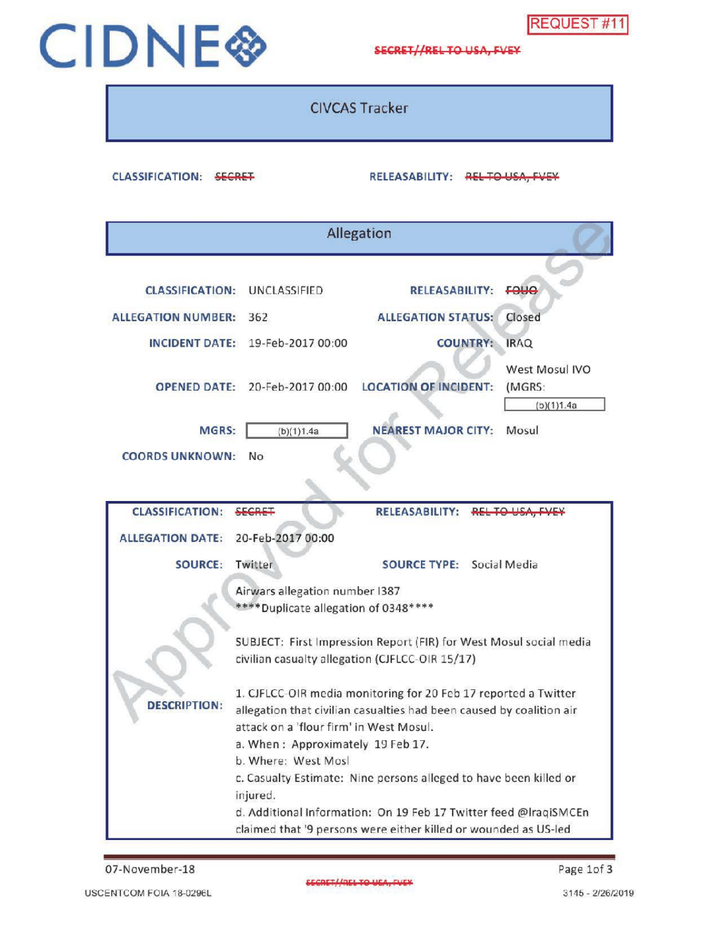# CIDNE<sup>S</sup>

CIVCAS Tracker

CLASSIFICATION: SECRET RELEASABILITY: RELTO USA, FVEY

| Allegation                                                                                 |                                                                                                                                                                                                                                             |                                                                                                                                                                                                                                                                                                                                                                                                                                                                                                                                           |                                                                                         |  |
|--------------------------------------------------------------------------------------------|---------------------------------------------------------------------------------------------------------------------------------------------------------------------------------------------------------------------------------------------|-------------------------------------------------------------------------------------------------------------------------------------------------------------------------------------------------------------------------------------------------------------------------------------------------------------------------------------------------------------------------------------------------------------------------------------------------------------------------------------------------------------------------------------------|-----------------------------------------------------------------------------------------|--|
| <b>CLASSIFICATION:</b><br><b>ALLEGATION NUMBER:</b><br>MGRS:<br><b>COORDS UNKNOWN:</b>     | UNCLASSIFIED<br>362<br>INCIDENT DATE: 19-Feb-2017 00:00<br>OPENED DATE: 20-Feb-2017 00:00<br>(b)(1)1.4a<br>No                                                                                                                               | <b>RELEASABILITY:</b><br><b>ALLEGATION STATUS:</b><br><b>COUNTRY:</b><br><b>LOCATION OF INCIDENT:</b><br><b>NEAREST MAJOR CITY:</b>                                                                                                                                                                                                                                                                                                                                                                                                       | <b>FOUO</b><br>Closed<br><b>IRAQ</b><br>West Mosul IVO<br>(MGRS:<br>(5)(1)1.4a<br>Mosul |  |
| <b>CLASSIFICATION:</b><br><b>ALLEGATION DATE:</b><br><b>SOURCE:</b><br><b>DESCRIPTION:</b> | <b>SECRET</b><br>20-Feb-2017 00:00<br>Twitter<br>Airwars allegation number 1387<br>**** Duplicate allegation of 0348****<br>attack on a 'flour firm' in West Mosul.<br>a. When: Approximately 19 Feb 17.<br>b. Where: West Mosl<br>injured. | <b>RELEASABILITY:</b><br><b>SOURCE TYPE: Social Media</b><br>SUBJECT: First Impression Report (FIR) for West Mosul social media<br>civilian casualty allegation (CJFLCC-OIR 15/17)<br>1. CJFLCC-OIR media monitoring for 20 Feb 17 reported a Twitter<br>allegation that civilian casualties had been caused by coalition air<br>c. Casualty Estimate: Nine persons alleged to have been killed or<br>d. Additional Information: On 19 Feb 17 Twitter feed @IraqiSMCEn<br>claimed that '9 persons were either killed or wounded as US-led | <b>REL TO USA FVEY</b>                                                                  |  |

07-November-18 etcart/att To UCA, EVEY example 2013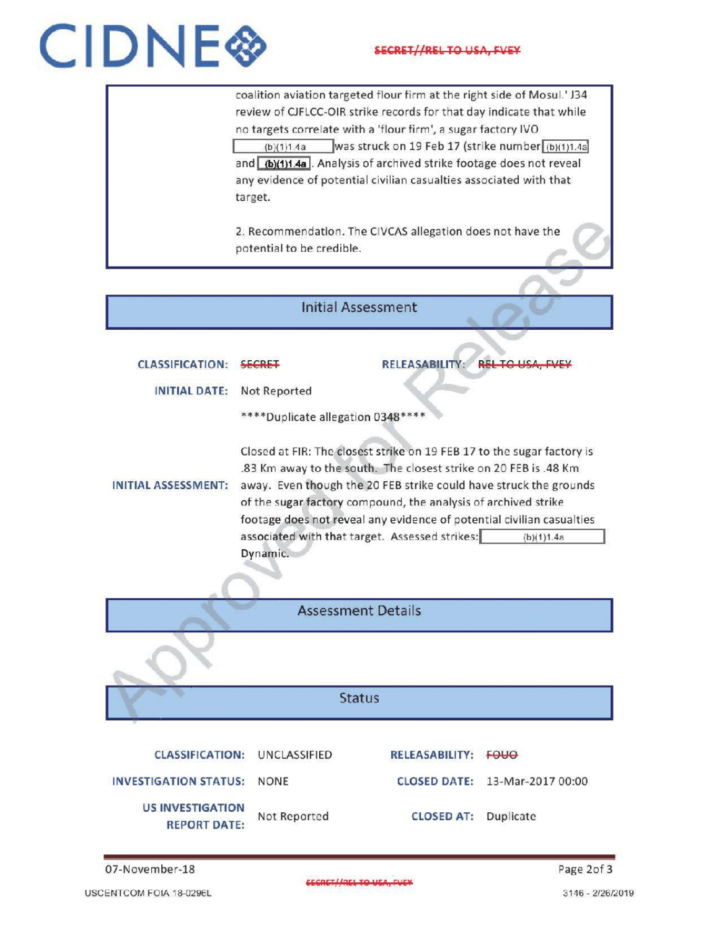## CIDNE<sup>S</sup>

coalition aviation targeted flour firm at the right side of Mosul.' review of CJFLCC -OIR strike records for that day indicate that while no targets correlate with <sup>a</sup> 'flour firm', a sugar factory (b) $(1)1.4a$  | was struck on 19 Feb 17 (strike number  $(b)(1)1.4a$ and (b)(1)1.4a. Analysis of archived strike footage does not reveal any evidence of potential civilian casualties associated with that target

2. Recommendation. The CIVCAS allegation does not have the potential to be credible.

### InitialAssessment

#### CLASSIFICATION: SECRET RELEASABILITY: RELTO USA

INITIALDATE: Not Reported

\*\*\*\*Duplicate allegation 0348 \*\*\*\*

Closed at FIR: The closest strike on 19 FEB 17to the sugar factory is .83 Km away to the south. The closest strike on 20 FEB is .48 Km INITIAL ASSESSMENT: away. Even though the 20 FEB strike could have struck the grounds of the sugar factory compound, the analysis of archived strike footage does not reveal any evidence of potential civilian casualties associated with that target. Assessed strikes: (b)(1)1.4a Dynamic.

Assessment Details

**Status** 

CLASSIFICATION: UNCLASSIFIED RELEASABILITY: FOUO

US INVESTIGATION **REPORT DATE:** 

INVESTIGATION STATUS: NONE CLOSED DATE: 13-Mar-2017 00:00

Not Reported CLOSED AT: Duplicate

07-November-18 Page 2of 3